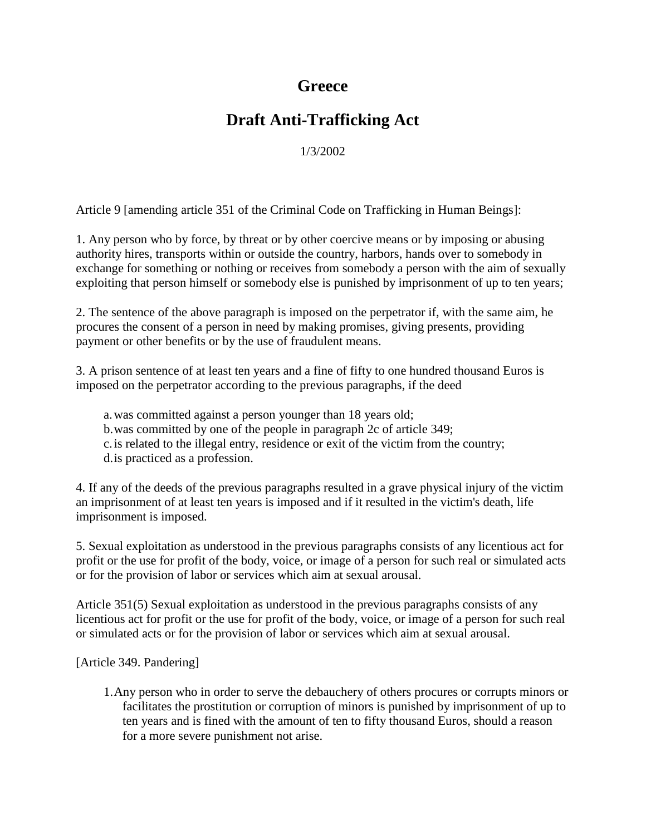## **Greece**

## **Draft Anti-Trafficking Act**

1/3/2002

Article 9 [amending article 351 of the Criminal Code on Trafficking in Human Beings]:

1. Any person who by force, by threat or by other coercive means or by imposing or abusing authority hires, transports within or outside the country, harbors, hands over to somebody in exchange for something or nothing or receives from somebody a person with the aim of sexually exploiting that person himself or somebody else is punished by imprisonment of up to ten years;

2. The sentence of the above paragraph is imposed on the perpetrator if, with the same aim, he procures the consent of a person in need by making promises, giving presents, providing payment or other benefits or by the use of fraudulent means.

3. A prison sentence of at least ten years and a fine of fifty to one hundred thousand Euros is imposed on the perpetrator according to the previous paragraphs, if the deed

a.was committed against a person younger than 18 years old; b.was committed by one of the people in paragraph 2c of article 349; c.is related to the illegal entry, residence or exit of the victim from the country; d.is practiced as a profession.

4. If any of the deeds of the previous paragraphs resulted in a grave physical injury of the victim an imprisonment of at least ten years is imposed and if it resulted in the victim's death, life imprisonment is imposed.

5. Sexual exploitation as understood in the previous paragraphs consists of any licentious act for profit or the use for profit of the body, voice, or image of a person for such real or simulated acts or for the provision of labor or services which aim at sexual arousal.

Article 351(5) Sexual exploitation as understood in the previous paragraphs consists of any licentious act for profit or the use for profit of the body, voice, or image of a person for such real or simulated acts or for the provision of labor or services which aim at sexual arousal.

[Article 349. Pandering]

1.Any person who in order to serve the debauchery of others procures or corrupts minors or facilitates the prostitution or corruption of minors is punished by imprisonment of up to ten years and is fined with the amount of ten to fifty thousand Euros, should a reason for a more severe punishment not arise.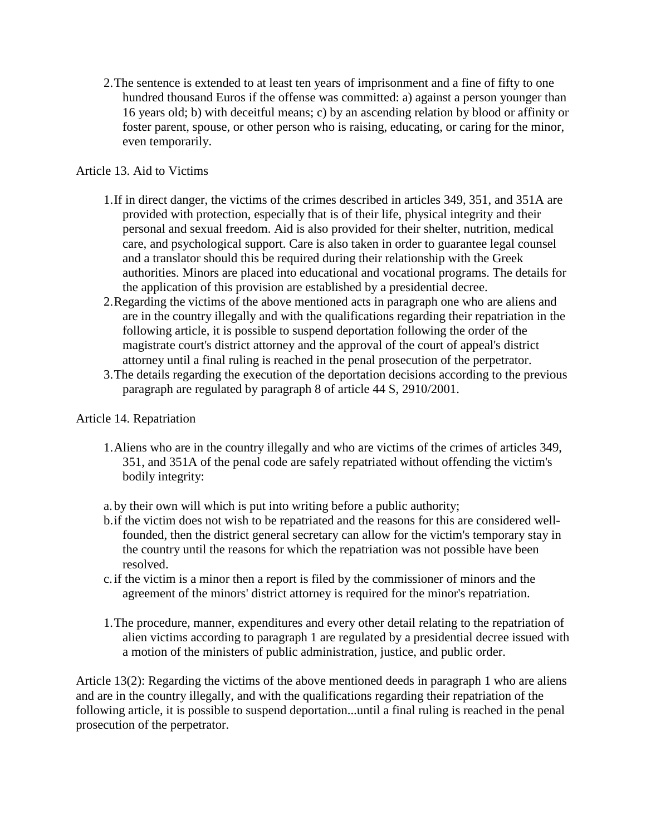2.The sentence is extended to at least ten years of imprisonment and a fine of fifty to one hundred thousand Euros if the offense was committed: a) against a person younger than 16 years old; b) with deceitful means; c) by an ascending relation by blood or affinity or foster parent, spouse, or other person who is raising, educating, or caring for the minor, even temporarily.

## Article 13. Aid to Victims

- 1.If in direct danger, the victims of the crimes described in articles 349, 351, and 351A are provided with protection, especially that is of their life, physical integrity and their personal and sexual freedom. Aid is also provided for their shelter, nutrition, medical care, and psychological support. Care is also taken in order to guarantee legal counsel and a translator should this be required during their relationship with the Greek authorities. Minors are placed into educational and vocational programs. The details for the application of this provision are established by a presidential decree.
- 2.Regarding the victims of the above mentioned acts in paragraph one who are aliens and are in the country illegally and with the qualifications regarding their repatriation in the following article, it is possible to suspend deportation following the order of the magistrate court's district attorney and the approval of the court of appeal's district attorney until a final ruling is reached in the penal prosecution of the perpetrator.
- 3.The details regarding the execution of the deportation decisions according to the previous paragraph are regulated by paragraph 8 of article 44 S, 2910/2001.

## Article 14. Repatriation

1.Aliens who are in the country illegally and who are victims of the crimes of articles 349, 351, and 351A of the penal code are safely repatriated without offending the victim's bodily integrity:

a.by their own will which is put into writing before a public authority;

- b.if the victim does not wish to be repatriated and the reasons for this are considered wellfounded, then the district general secretary can allow for the victim's temporary stay in the country until the reasons for which the repatriation was not possible have been resolved.
- c.if the victim is a minor then a report is filed by the commissioner of minors and the agreement of the minors' district attorney is required for the minor's repatriation.
- 1.The procedure, manner, expenditures and every other detail relating to the repatriation of alien victims according to paragraph 1 are regulated by a presidential decree issued with a motion of the ministers of public administration, justice, and public order.

Article 13(2): Regarding the victims of the above mentioned deeds in paragraph 1 who are aliens and are in the country illegally, and with the qualifications regarding their repatriation of the following article, it is possible to suspend deportation...until a final ruling is reached in the penal prosecution of the perpetrator.